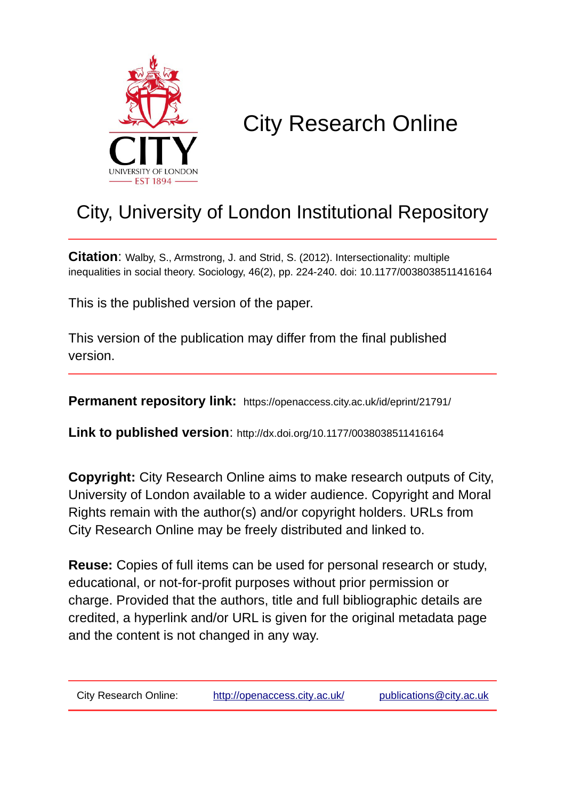

# City Research Online

## City, University of London Institutional Repository

**Citation**: Walby, S., Armstrong, J. and Strid, S. (2012). Intersectionality: multiple inequalities in social theory. Sociology, 46(2), pp. 224-240. doi: 10.1177/0038038511416164

This is the published version of the paper.

This version of the publication may differ from the final published version.

**Permanent repository link:** https://openaccess.city.ac.uk/id/eprint/21791/

**Link to published version**: http://dx.doi.org/10.1177/0038038511416164

**Copyright:** City Research Online aims to make research outputs of City, University of London available to a wider audience. Copyright and Moral Rights remain with the author(s) and/or copyright holders. URLs from City Research Online may be freely distributed and linked to.

**Reuse:** Copies of full items can be used for personal research or study, educational, or not-for-profit purposes without prior permission or charge. Provided that the authors, title and full bibliographic details are credited, a hyperlink and/or URL is given for the original metadata page and the content is not changed in any way.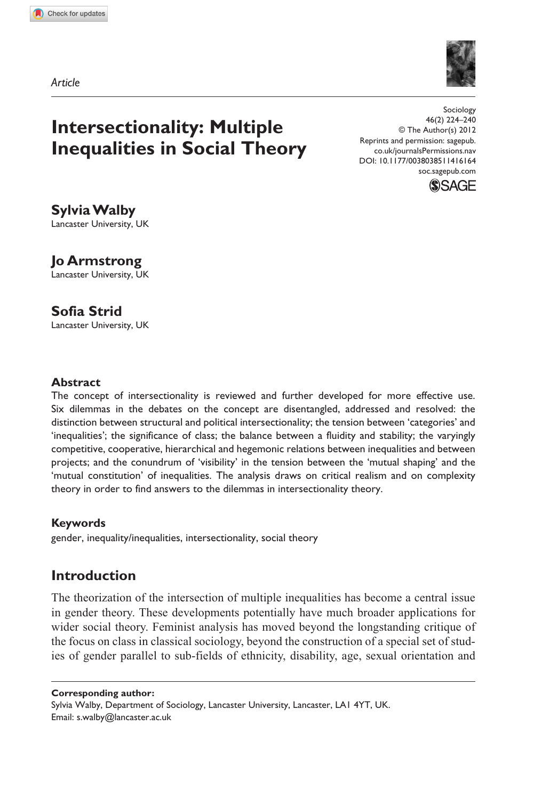*Article*



## **Intersectionality: Multiple Inequalities in Social Theory**

Sociology 46(2) 224–240 © The Author(s) 2012 Reprints and permission: sagepub. co.uk/journalsPermissions.nav DOI: 10.1177/0038038511416164 soc.sagepub.com



### **Sylvia Walby**

Lancaster University, UK

## **Jo Armstrong**

Lancaster University, UK

#### **Sofia Strid**

Lancaster University, UK

#### **Abstract**

The concept of intersectionality is reviewed and further developed for more effective use. Six dilemmas in the debates on the concept are disentangled, addressed and resolved: the distinction between structural and political intersectionality; the tension between 'categories' and 'inequalities'; the significance of class; the balance between a fluidity and stability; the varyingly competitive, cooperative, hierarchical and hegemonic relations between inequalities and between projects; and the conundrum of 'visibility' in the tension between the 'mutual shaping' and the 'mutual constitution' of inequalities. The analysis draws on critical realism and on complexity theory in order to find answers to the dilemmas in intersectionality theory.

#### **Keywords**

gender, inequality/inequalities, intersectionality, social theory

#### **Introduction**

The theorization of the intersection of multiple inequalities has become a central issue in gender theory. These developments potentially have much broader applications for wider social theory. Feminist analysis has moved beyond the longstanding critique of the focus on class in classical sociology, beyond the construction of a special set of studies of gender parallel to sub-fields of ethnicity, disability, age, sexual orientation and

#### **Corresponding author:**

Sylvia Walby, Department of Sociology, Lancaster University, Lancaster, LA1 4YT, UK. Email: s.walby@lancaster.ac.uk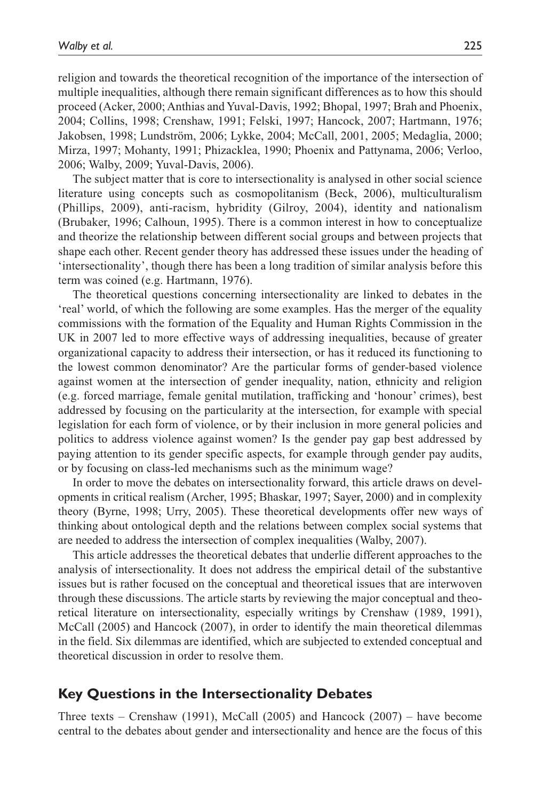religion and towards the theoretical recognition of the importance of the intersection of multiple inequalities, although there remain significant differences as to how this should proceed (Acker, 2000; Anthias and Yuval-Davis, 1992; Bhopal, 1997; Brah and Phoenix, 2004; Collins, 1998; Crenshaw, 1991; Felski, 1997; Hancock, 2007; Hartmann, 1976; Jakobsen, 1998; Lundström, 2006; Lykke, 2004; McCall, 2001, 2005; Medaglia, 2000; Mirza, 1997; Mohanty, 1991; Phizacklea, 1990; Phoenix and Pattynama, 2006; Verloo, 2006; Walby, 2009; Yuval-Davis, 2006).

The subject matter that is core to intersectionality is analysed in other social science literature using concepts such as cosmopolitanism (Beck, 2006), multiculturalism (Phillips, 2009), anti-racism, hybridity (Gilroy, 2004), identity and nationalism (Brubaker, 1996; Calhoun, 1995). There is a common interest in how to conceptualize and theorize the relationship between different social groups and between projects that shape each other. Recent gender theory has addressed these issues under the heading of 'intersectionality', though there has been a long tradition of similar analysis before this term was coined (e.g. Hartmann, 1976).

The theoretical questions concerning intersectionality are linked to debates in the 'real' world, of which the following are some examples. Has the merger of the equality commissions with the formation of the Equality and Human Rights Commission in the UK in 2007 led to more effective ways of addressing inequalities, because of greater organizational capacity to address their intersection, or has it reduced its functioning to the lowest common denominator? Are the particular forms of gender-based violence against women at the intersection of gender inequality, nation, ethnicity and religion (e.g. forced marriage, female genital mutilation, trafficking and 'honour' crimes), best addressed by focusing on the particularity at the intersection, for example with special legislation for each form of violence, or by their inclusion in more general policies and politics to address violence against women? Is the gender pay gap best addressed by paying attention to its gender specific aspects, for example through gender pay audits, or by focusing on class-led mechanisms such as the minimum wage?

In order to move the debates on intersectionality forward, this article draws on developments in critical realism (Archer, 1995; Bhaskar, 1997; Sayer, 2000) and in complexity theory (Byrne, 1998; Urry, 2005). These theoretical developments offer new ways of thinking about ontological depth and the relations between complex social systems that are needed to address the intersection of complex inequalities (Walby, 2007).

This article addresses the theoretical debates that underlie different approaches to the analysis of intersectionality. It does not address the empirical detail of the substantive issues but is rather focused on the conceptual and theoretical issues that are interwoven through these discussions. The article starts by reviewing the major conceptual and theoretical literature on intersectionality, especially writings by Crenshaw (1989, 1991), McCall (2005) and Hancock (2007), in order to identify the main theoretical dilemmas in the field. Six dilemmas are identified, which are subjected to extended conceptual and theoretical discussion in order to resolve them.

#### **Key Questions in the Intersectionality Debates**

Three texts – Crenshaw (1991), McCall (2005) and Hancock (2007) – have become central to the debates about gender and intersectionality and hence are the focus of this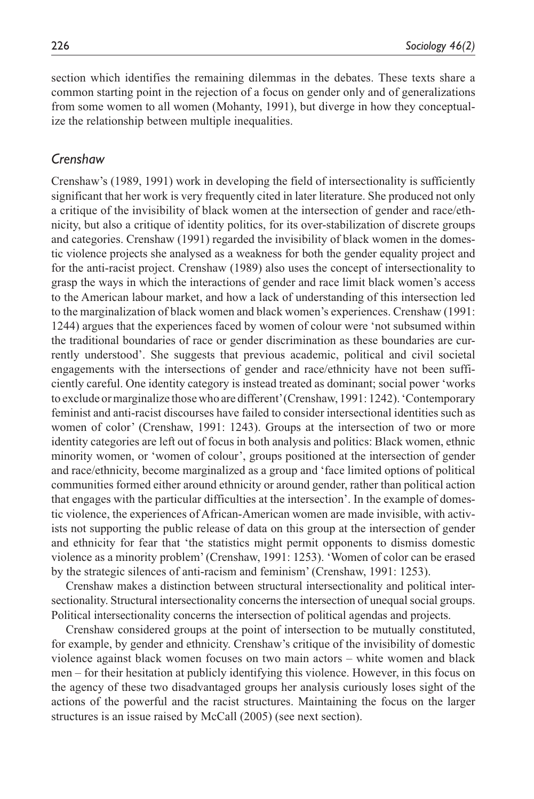section which identifies the remaining dilemmas in the debates. These texts share a common starting point in the rejection of a focus on gender only and of generalizations from some women to all women (Mohanty, 1991), but diverge in how they conceptualize the relationship between multiple inequalities.

#### *Crenshaw*

Crenshaw's (1989, 1991) work in developing the field of intersectionality is sufficiently significant that her work is very frequently cited in later literature. She produced not only a critique of the invisibility of black women at the intersection of gender and race/ethnicity, but also a critique of identity politics, for its over-stabilization of discrete groups and categories. Crenshaw (1991) regarded the invisibility of black women in the domestic violence projects she analysed as a weakness for both the gender equality project and for the anti-racist project. Crenshaw (1989) also uses the concept of intersectionality to grasp the ways in which the interactions of gender and race limit black women's access to the American labour market, and how a lack of understanding of this intersection led to the marginalization of black women and black women's experiences. Crenshaw (1991: 1244) argues that the experiences faced by women of colour were 'not subsumed within the traditional boundaries of race or gender discrimination as these boundaries are currently understood'. She suggests that previous academic, political and civil societal engagements with the intersections of gender and race/ethnicity have not been sufficiently careful. One identity category is instead treated as dominant; social power 'works to exclude or marginalize those who are different' (Crenshaw, 1991: 1242). 'Contemporary feminist and anti-racist discourses have failed to consider intersectional identities such as women of color' (Crenshaw, 1991: 1243). Groups at the intersection of two or more identity categories are left out of focus in both analysis and politics: Black women, ethnic minority women, or 'women of colour', groups positioned at the intersection of gender and race/ethnicity, become marginalized as a group and 'face limited options of political communities formed either around ethnicity or around gender, rather than political action that engages with the particular difficulties at the intersection'. In the example of domestic violence, the experiences of African-American women are made invisible, with activists not supporting the public release of data on this group at the intersection of gender and ethnicity for fear that 'the statistics might permit opponents to dismiss domestic violence as a minority problem' (Crenshaw, 1991: 1253). 'Women of color can be erased by the strategic silences of anti-racism and feminism' (Crenshaw, 1991: 1253).

Crenshaw makes a distinction between structural intersectionality and political intersectionality. Structural intersectionality concerns the intersection of unequal social groups. Political intersectionality concerns the intersection of political agendas and projects.

Crenshaw considered groups at the point of intersection to be mutually constituted, for example, by gender and ethnicity. Crenshaw's critique of the invisibility of domestic violence against black women focuses on two main actors – white women and black men – for their hesitation at publicly identifying this violence. However, in this focus on the agency of these two disadvantaged groups her analysis curiously loses sight of the actions of the powerful and the racist structures. Maintaining the focus on the larger structures is an issue raised by McCall (2005) (see next section).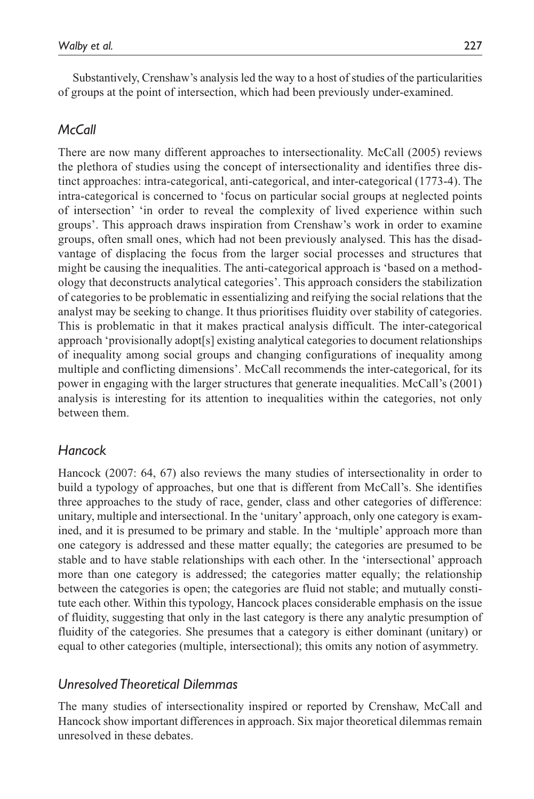Substantively, Crenshaw's analysis led the way to a host of studies of the particularities of groups at the point of intersection, which had been previously under-examined.

#### *McCall*

There are now many different approaches to intersectionality. McCall (2005) reviews the plethora of studies using the concept of intersectionality and identifies three distinct approaches: intra-categorical, anti-categorical, and inter-categorical (1773-4). The intra-categorical is concerned to 'focus on particular social groups at neglected points of intersection' 'in order to reveal the complexity of lived experience within such groups'. This approach draws inspiration from Crenshaw's work in order to examine groups, often small ones, which had not been previously analysed. This has the disadvantage of displacing the focus from the larger social processes and structures that might be causing the inequalities. The anti-categorical approach is 'based on a methodology that deconstructs analytical categories'. This approach considers the stabilization of categories to be problematic in essentializing and reifying the social relations that the analyst may be seeking to change. It thus prioritises fluidity over stability of categories. This is problematic in that it makes practical analysis difficult. The inter-categorical approach 'provisionally adopt[s] existing analytical categories to document relationships of inequality among social groups and changing configurations of inequality among multiple and conflicting dimensions'. McCall recommends the inter-categorical, for its power in engaging with the larger structures that generate inequalities. McCall's (2001) analysis is interesting for its attention to inequalities within the categories, not only between them.

#### *Hancock*

Hancock (2007: 64, 67) also reviews the many studies of intersectionality in order to build a typology of approaches, but one that is different from McCall's. She identifies three approaches to the study of race, gender, class and other categories of difference: unitary, multiple and intersectional. In the 'unitary' approach, only one category is examined, and it is presumed to be primary and stable. In the 'multiple' approach more than one category is addressed and these matter equally; the categories are presumed to be stable and to have stable relationships with each other. In the 'intersectional' approach more than one category is addressed; the categories matter equally; the relationship between the categories is open; the categories are fluid not stable; and mutually constitute each other. Within this typology, Hancock places considerable emphasis on the issue of fluidity, suggesting that only in the last category is there any analytic presumption of fluidity of the categories. She presumes that a category is either dominant (unitary) or equal to other categories (multiple, intersectional); this omits any notion of asymmetry.

#### *Unresolved Theoretical Dilemmas*

The many studies of intersectionality inspired or reported by Crenshaw, McCall and Hancock show important differences in approach. Six major theoretical dilemmas remain unresolved in these debates.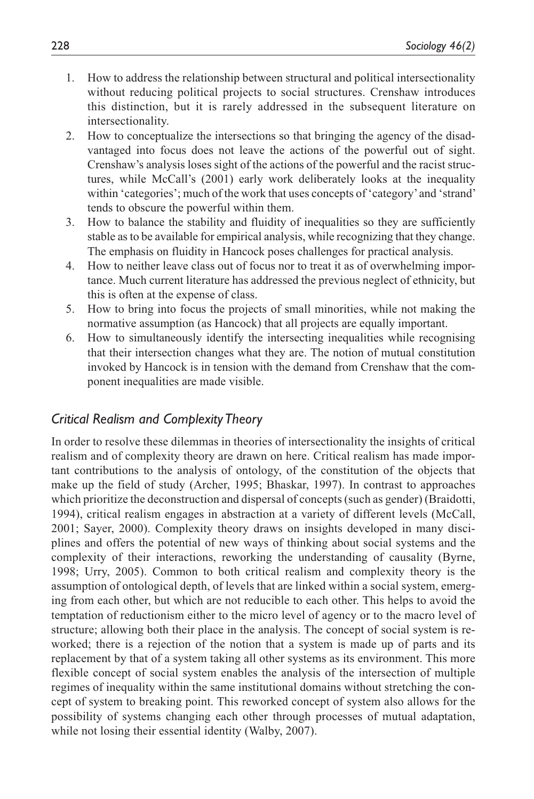- 1. How to address the relationship between structural and political intersectionality without reducing political projects to social structures. Crenshaw introduces this distinction, but it is rarely addressed in the subsequent literature on intersectionality.
- 2. How to conceptualize the intersections so that bringing the agency of the disadvantaged into focus does not leave the actions of the powerful out of sight. Crenshaw's analysis loses sight of the actions of the powerful and the racist structures, while McCall's (2001) early work deliberately looks at the inequality within 'categories'; much of the work that uses concepts of 'category' and 'strand' tends to obscure the powerful within them.
- 3. How to balance the stability and fluidity of inequalities so they are sufficiently stable as to be available for empirical analysis, while recognizing that they change. The emphasis on fluidity in Hancock poses challenges for practical analysis.
- 4. How to neither leave class out of focus nor to treat it as of overwhelming importance. Much current literature has addressed the previous neglect of ethnicity, but this is often at the expense of class.
- 5. How to bring into focus the projects of small minorities, while not making the normative assumption (as Hancock) that all projects are equally important.
- 6. How to simultaneously identify the intersecting inequalities while recognising that their intersection changes what they are. The notion of mutual constitution invoked by Hancock is in tension with the demand from Crenshaw that the component inequalities are made visible.

#### *Critical Realism and Complexity Theory*

In order to resolve these dilemmas in theories of intersectionality the insights of critical realism and of complexity theory are drawn on here. Critical realism has made important contributions to the analysis of ontology, of the constitution of the objects that make up the field of study (Archer, 1995; Bhaskar, 1997). In contrast to approaches which prioritize the deconstruction and dispersal of concepts (such as gender) (Braidotti, 1994), critical realism engages in abstraction at a variety of different levels (McCall, 2001; Sayer, 2000). Complexity theory draws on insights developed in many disciplines and offers the potential of new ways of thinking about social systems and the complexity of their interactions, reworking the understanding of causality (Byrne, 1998; Urry, 2005). Common to both critical realism and complexity theory is the assumption of ontological depth, of levels that are linked within a social system, emerging from each other, but which are not reducible to each other. This helps to avoid the temptation of reductionism either to the micro level of agency or to the macro level of structure; allowing both their place in the analysis. The concept of social system is reworked; there is a rejection of the notion that a system is made up of parts and its replacement by that of a system taking all other systems as its environment. This more flexible concept of social system enables the analysis of the intersection of multiple regimes of inequality within the same institutional domains without stretching the concept of system to breaking point. This reworked concept of system also allows for the possibility of systems changing each other through processes of mutual adaptation, while not losing their essential identity (Walby, 2007).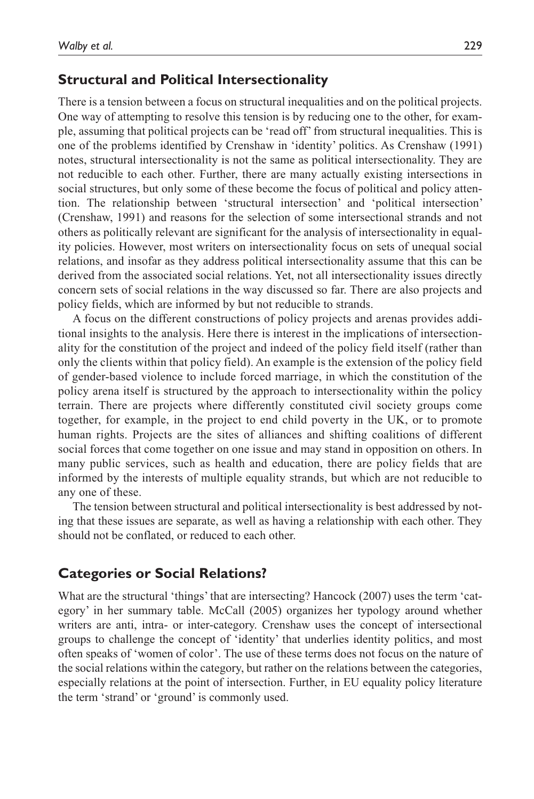#### **Structural and Political Intersectionality**

There is a tension between a focus on structural inequalities and on the political projects. One way of attempting to resolve this tension is by reducing one to the other, for example, assuming that political projects can be 'read off' from structural inequalities. This is one of the problems identified by Crenshaw in 'identity' politics. As Crenshaw (1991) notes, structural intersectionality is not the same as political intersectionality. They are not reducible to each other. Further, there are many actually existing intersections in social structures, but only some of these become the focus of political and policy attention. The relationship between 'structural intersection' and 'political intersection' (Crenshaw, 1991) and reasons for the selection of some intersectional strands and not others as politically relevant are significant for the analysis of intersectionality in equality policies. However, most writers on intersectionality focus on sets of unequal social relations, and insofar as they address political intersectionality assume that this can be derived from the associated social relations. Yet, not all intersectionality issues directly concern sets of social relations in the way discussed so far. There are also projects and policy fields, which are informed by but not reducible to strands.

A focus on the different constructions of policy projects and arenas provides additional insights to the analysis. Here there is interest in the implications of intersectionality for the constitution of the project and indeed of the policy field itself (rather than only the clients within that policy field). An example is the extension of the policy field of gender-based violence to include forced marriage, in which the constitution of the policy arena itself is structured by the approach to intersectionality within the policy terrain. There are projects where differently constituted civil society groups come together, for example, in the project to end child poverty in the UK, or to promote human rights. Projects are the sites of alliances and shifting coalitions of different social forces that come together on one issue and may stand in opposition on others. In many public services, such as health and education, there are policy fields that are informed by the interests of multiple equality strands, but which are not reducible to any one of these.

The tension between structural and political intersectionality is best addressed by noting that these issues are separate, as well as having a relationship with each other. They should not be conflated, or reduced to each other.

#### **Categories or Social Relations?**

What are the structural 'things' that are intersecting? Hancock (2007) uses the term 'category' in her summary table. McCall (2005) organizes her typology around whether writers are anti, intra- or inter-category. Crenshaw uses the concept of intersectional groups to challenge the concept of 'identity' that underlies identity politics, and most often speaks of 'women of color'. The use of these terms does not focus on the nature of the social relations within the category, but rather on the relations between the categories, especially relations at the point of intersection. Further, in EU equality policy literature the term 'strand' or 'ground' is commonly used.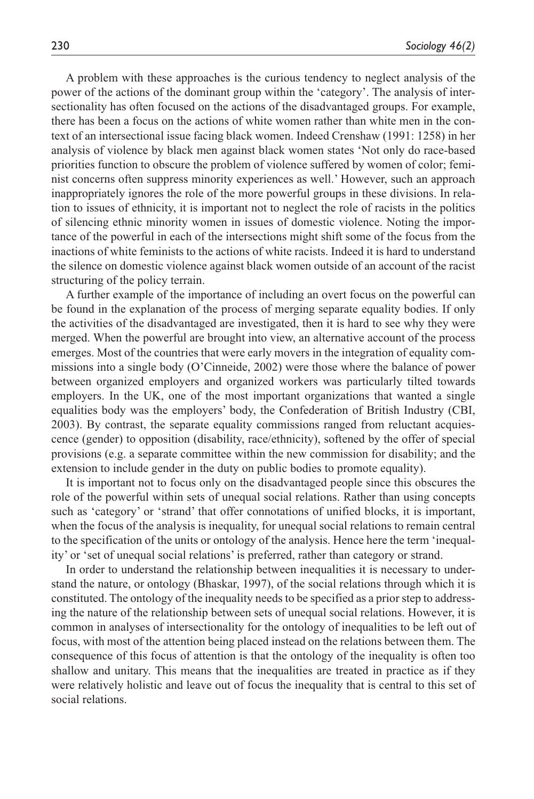A problem with these approaches is the curious tendency to neglect analysis of the power of the actions of the dominant group within the 'category'. The analysis of intersectionality has often focused on the actions of the disadvantaged groups. For example, there has been a focus on the actions of white women rather than white men in the context of an intersectional issue facing black women. Indeed Crenshaw (1991: 1258) in her analysis of violence by black men against black women states 'Not only do race-based priorities function to obscure the problem of violence suffered by women of color; feminist concerns often suppress minority experiences as well.' However, such an approach inappropriately ignores the role of the more powerful groups in these divisions. In relation to issues of ethnicity, it is important not to neglect the role of racists in the politics of silencing ethnic minority women in issues of domestic violence. Noting the importance of the powerful in each of the intersections might shift some of the focus from the inactions of white feminists to the actions of white racists. Indeed it is hard to understand the silence on domestic violence against black women outside of an account of the racist structuring of the policy terrain.

A further example of the importance of including an overt focus on the powerful can be found in the explanation of the process of merging separate equality bodies. If only the activities of the disadvantaged are investigated, then it is hard to see why they were merged. When the powerful are brought into view, an alternative account of the process emerges. Most of the countries that were early movers in the integration of equality commissions into a single body (O'Cinneide, 2002) were those where the balance of power between organized employers and organized workers was particularly tilted towards employers. In the UK, one of the most important organizations that wanted a single equalities body was the employers' body, the Confederation of British Industry (CBI, 2003). By contrast, the separate equality commissions ranged from reluctant acquiescence (gender) to opposition (disability, race/ethnicity), softened by the offer of special provisions (e.g. a separate committee within the new commission for disability; and the extension to include gender in the duty on public bodies to promote equality).

It is important not to focus only on the disadvantaged people since this obscures the role of the powerful within sets of unequal social relations. Rather than using concepts such as 'category' or 'strand' that offer connotations of unified blocks, it is important, when the focus of the analysis is inequality, for unequal social relations to remain central to the specification of the units or ontology of the analysis. Hence here the term 'inequality' or 'set of unequal social relations' is preferred, rather than category or strand.

In order to understand the relationship between inequalities it is necessary to understand the nature, or ontology (Bhaskar, 1997), of the social relations through which it is constituted. The ontology of the inequality needs to be specified as a prior step to addressing the nature of the relationship between sets of unequal social relations. However, it is common in analyses of intersectionality for the ontology of inequalities to be left out of focus, with most of the attention being placed instead on the relations between them. The consequence of this focus of attention is that the ontology of the inequality is often too shallow and unitary. This means that the inequalities are treated in practice as if they were relatively holistic and leave out of focus the inequality that is central to this set of social relations.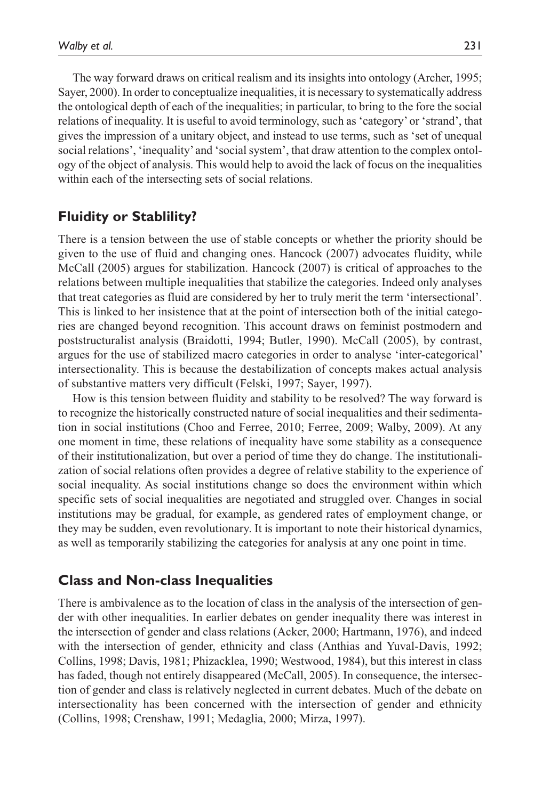The way forward draws on critical realism and its insights into ontology (Archer, 1995; Sayer, 2000). In order to conceptualize inequalities, it is necessary to systematically address the ontological depth of each of the inequalities; in particular, to bring to the fore the social relations of inequality. It is useful to avoid terminology, such as 'category' or 'strand', that gives the impression of a unitary object, and instead to use terms, such as 'set of unequal social relations', 'inequality' and 'social system', that draw attention to the complex ontology of the object of analysis. This would help to avoid the lack of focus on the inequalities within each of the intersecting sets of social relations.

#### **Fluidity or Stablility?**

There is a tension between the use of stable concepts or whether the priority should be given to the use of fluid and changing ones. Hancock (2007) advocates fluidity, while McCall (2005) argues for stabilization. Hancock (2007) is critical of approaches to the relations between multiple inequalities that stabilize the categories. Indeed only analyses that treat categories as fluid are considered by her to truly merit the term 'intersectional'. This is linked to her insistence that at the point of intersection both of the initial categories are changed beyond recognition. This account draws on feminist postmodern and poststructuralist analysis (Braidotti, 1994; Butler, 1990). McCall (2005), by contrast, argues for the use of stabilized macro categories in order to analyse 'inter-categorical' intersectionality. This is because the destabilization of concepts makes actual analysis of substantive matters very difficult (Felski, 1997; Sayer, 1997).

How is this tension between fluidity and stability to be resolved? The way forward is to recognize the historically constructed nature of social inequalities and their sedimentation in social institutions (Choo and Ferree, 2010; Ferree, 2009; Walby, 2009). At any one moment in time, these relations of inequality have some stability as a consequence of their institutionalization, but over a period of time they do change. The institutionalization of social relations often provides a degree of relative stability to the experience of social inequality. As social institutions change so does the environment within which specific sets of social inequalities are negotiated and struggled over. Changes in social institutions may be gradual, for example, as gendered rates of employment change, or they may be sudden, even revolutionary. It is important to note their historical dynamics, as well as temporarily stabilizing the categories for analysis at any one point in time.

#### **Class and Non-class Inequalities**

There is ambivalence as to the location of class in the analysis of the intersection of gender with other inequalities. In earlier debates on gender inequality there was interest in the intersection of gender and class relations (Acker, 2000; Hartmann, 1976), and indeed with the intersection of gender, ethnicity and class (Anthias and Yuval-Davis, 1992; Collins, 1998; Davis, 1981; Phizacklea, 1990; Westwood, 1984), but this interest in class has faded, though not entirely disappeared (McCall, 2005). In consequence, the intersection of gender and class is relatively neglected in current debates. Much of the debate on intersectionality has been concerned with the intersection of gender and ethnicity (Collins, 1998; Crenshaw, 1991; Medaglia, 2000; Mirza, 1997).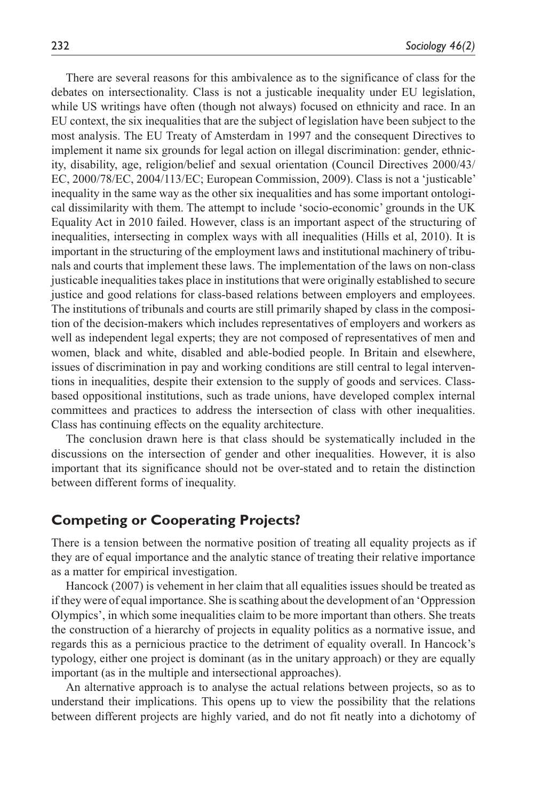There are several reasons for this ambivalence as to the significance of class for the debates on intersectionality. Class is not a justicable inequality under EU legislation, while US writings have often (though not always) focused on ethnicity and race. In an EU context, the six inequalities that are the subject of legislation have been subject to the most analysis. The EU Treaty of Amsterdam in 1997 and the consequent Directives to implement it name six grounds for legal action on illegal discrimination: gender, ethnicity, disability, age, religion/belief and sexual orientation (Council Directives 2000/43/ EC, 2000/78/EC, 2004/113/EC; European Commission, 2009). Class is not a 'justicable' inequality in the same way as the other six inequalities and has some important ontological dissimilarity with them. The attempt to include 'socio-economic' grounds in the UK Equality Act in 2010 failed. However, class is an important aspect of the structuring of inequalities, intersecting in complex ways with all inequalities (Hills et al, 2010). It is important in the structuring of the employment laws and institutional machinery of tribunals and courts that implement these laws. The implementation of the laws on non-class justicable inequalities takes place in institutions that were originally established to secure justice and good relations for class-based relations between employers and employees. The institutions of tribunals and courts are still primarily shaped by class in the composition of the decision-makers which includes representatives of employers and workers as well as independent legal experts; they are not composed of representatives of men and women, black and white, disabled and able-bodied people. In Britain and elsewhere, issues of discrimination in pay and working conditions are still central to legal interventions in inequalities, despite their extension to the supply of goods and services. Classbased oppositional institutions, such as trade unions, have developed complex internal committees and practices to address the intersection of class with other inequalities. Class has continuing effects on the equality architecture.

The conclusion drawn here is that class should be systematically included in the discussions on the intersection of gender and other inequalities. However, it is also important that its significance should not be over-stated and to retain the distinction between different forms of inequality.

#### **Competing or Cooperating Projects?**

There is a tension between the normative position of treating all equality projects as if they are of equal importance and the analytic stance of treating their relative importance as a matter for empirical investigation.

Hancock (2007) is vehement in her claim that all equalities issues should be treated as if they were of equal importance. She is scathing about the development of an 'Oppression Olympics', in which some inequalities claim to be more important than others. She treats the construction of a hierarchy of projects in equality politics as a normative issue, and regards this as a pernicious practice to the detriment of equality overall. In Hancock's typology, either one project is dominant (as in the unitary approach) or they are equally important (as in the multiple and intersectional approaches).

An alternative approach is to analyse the actual relations between projects, so as to understand their implications. This opens up to view the possibility that the relations between different projects are highly varied, and do not fit neatly into a dichotomy of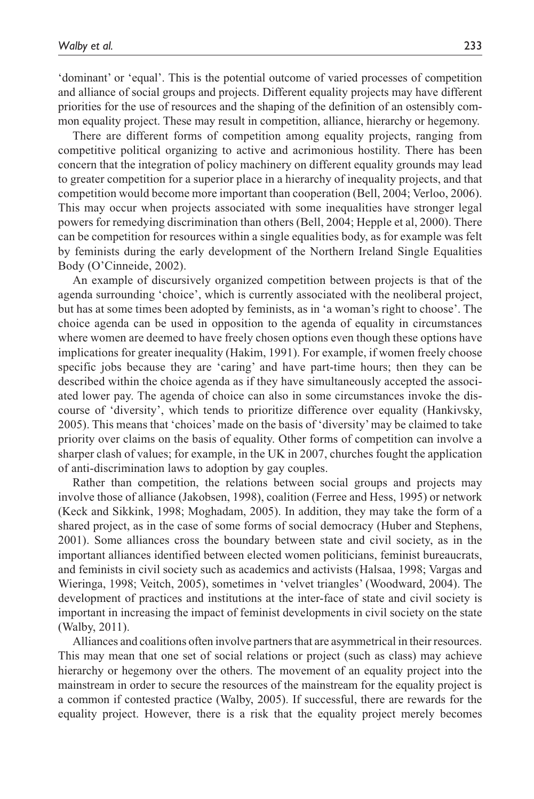'dominant' or 'equal'. This is the potential outcome of varied processes of competition and alliance of social groups and projects. Different equality projects may have different priorities for the use of resources and the shaping of the definition of an ostensibly common equality project. These may result in competition, alliance, hierarchy or hegemony.

There are different forms of competition among equality projects, ranging from competitive political organizing to active and acrimonious hostility. There has been concern that the integration of policy machinery on different equality grounds may lead to greater competition for a superior place in a hierarchy of inequality projects, and that competition would become more important than cooperation (Bell, 2004; Verloo, 2006). This may occur when projects associated with some inequalities have stronger legal powers for remedying discrimination than others (Bell, 2004; Hepple et al, 2000). There can be competition for resources within a single equalities body, as for example was felt by feminists during the early development of the Northern Ireland Single Equalities Body (O'Cinneide, 2002).

An example of discursively organized competition between projects is that of the agenda surrounding 'choice', which is currently associated with the neoliberal project, but has at some times been adopted by feminists, as in 'a woman's right to choose'. The choice agenda can be used in opposition to the agenda of equality in circumstances where women are deemed to have freely chosen options even though these options have implications for greater inequality (Hakim, 1991). For example, if women freely choose specific jobs because they are 'caring' and have part-time hours; then they can be described within the choice agenda as if they have simultaneously accepted the associated lower pay. The agenda of choice can also in some circumstances invoke the discourse of 'diversity', which tends to prioritize difference over equality (Hankivsky, 2005). This means that 'choices' made on the basis of 'diversity' may be claimed to take priority over claims on the basis of equality. Other forms of competition can involve a sharper clash of values; for example, in the UK in 2007, churches fought the application of anti-discrimination laws to adoption by gay couples.

Rather than competition, the relations between social groups and projects may involve those of alliance (Jakobsen, 1998), coalition (Ferree and Hess, 1995) or network (Keck and Sikkink, 1998; Moghadam, 2005). In addition, they may take the form of a shared project, as in the case of some forms of social democracy (Huber and Stephens, 2001). Some alliances cross the boundary between state and civil society, as in the important alliances identified between elected women politicians, feminist bureaucrats, and feminists in civil society such as academics and activists (Halsaa, 1998; Vargas and Wieringa, 1998; Veitch, 2005), sometimes in 'velvet triangles' (Woodward, 2004). The development of practices and institutions at the inter-face of state and civil society is important in increasing the impact of feminist developments in civil society on the state (Walby, 2011).

Alliances and coalitions often involve partners that are asymmetrical in their resources. This may mean that one set of social relations or project (such as class) may achieve hierarchy or hegemony over the others. The movement of an equality project into the mainstream in order to secure the resources of the mainstream for the equality project is a common if contested practice (Walby, 2005). If successful, there are rewards for the equality project. However, there is a risk that the equality project merely becomes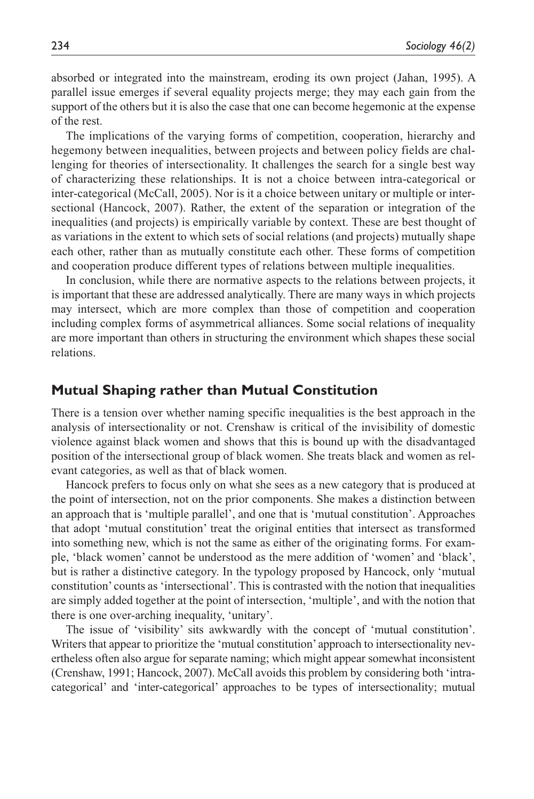absorbed or integrated into the mainstream, eroding its own project (Jahan, 1995). A parallel issue emerges if several equality projects merge; they may each gain from the support of the others but it is also the case that one can become hegemonic at the expense of the rest.

The implications of the varying forms of competition, cooperation, hierarchy and hegemony between inequalities, between projects and between policy fields are challenging for theories of intersectionality. It challenges the search for a single best way of characterizing these relationships. It is not a choice between intra-categorical or inter-categorical (McCall, 2005). Nor is it a choice between unitary or multiple or intersectional (Hancock, 2007). Rather, the extent of the separation or integration of the inequalities (and projects) is empirically variable by context. These are best thought of as variations in the extent to which sets of social relations (and projects) mutually shape each other, rather than as mutually constitute each other. These forms of competition and cooperation produce different types of relations between multiple inequalities.

In conclusion, while there are normative aspects to the relations between projects, it is important that these are addressed analytically. There are many ways in which projects may intersect, which are more complex than those of competition and cooperation including complex forms of asymmetrical alliances. Some social relations of inequality are more important than others in structuring the environment which shapes these social relations.

#### **Mutual Shaping rather than Mutual Constitution**

There is a tension over whether naming specific inequalities is the best approach in the analysis of intersectionality or not. Crenshaw is critical of the invisibility of domestic violence against black women and shows that this is bound up with the disadvantaged position of the intersectional group of black women. She treats black and women as relevant categories, as well as that of black women.

Hancock prefers to focus only on what she sees as a new category that is produced at the point of intersection, not on the prior components. She makes a distinction between an approach that is 'multiple parallel', and one that is 'mutual constitution'. Approaches that adopt 'mutual constitution' treat the original entities that intersect as transformed into something new, which is not the same as either of the originating forms. For example, 'black women' cannot be understood as the mere addition of 'women' and 'black', but is rather a distinctive category. In the typology proposed by Hancock, only 'mutual constitution' counts as 'intersectional'. This is contrasted with the notion that inequalities are simply added together at the point of intersection, 'multiple', and with the notion that there is one over-arching inequality, 'unitary'.

The issue of 'visibility' sits awkwardly with the concept of 'mutual constitution'. Writers that appear to prioritize the 'mutual constitution' approach to intersectionality nevertheless often also argue for separate naming; which might appear somewhat inconsistent (Crenshaw, 1991; Hancock, 2007). McCall avoids this problem by considering both 'intracategorical' and 'inter-categorical' approaches to be types of intersectionality; mutual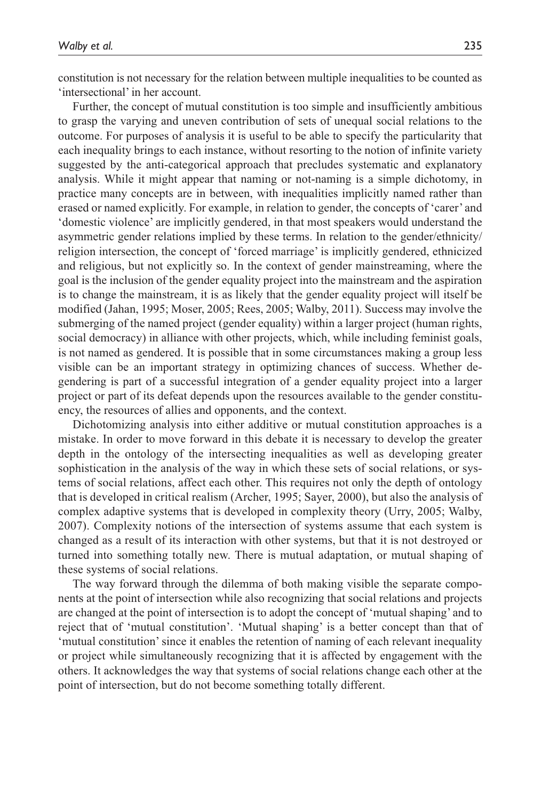constitution is not necessary for the relation between multiple inequalities to be counted as 'intersectional' in her account.

Further, the concept of mutual constitution is too simple and insufficiently ambitious to grasp the varying and uneven contribution of sets of unequal social relations to the outcome. For purposes of analysis it is useful to be able to specify the particularity that each inequality brings to each instance, without resorting to the notion of infinite variety suggested by the anti-categorical approach that precludes systematic and explanatory analysis. While it might appear that naming or not-naming is a simple dichotomy, in practice many concepts are in between, with inequalities implicitly named rather than erased or named explicitly. For example, in relation to gender, the concepts of 'carer' and 'domestic violence' are implicitly gendered, in that most speakers would understand the asymmetric gender relations implied by these terms. In relation to the gender/ethnicity/ religion intersection, the concept of 'forced marriage' is implicitly gendered, ethnicized and religious, but not explicitly so. In the context of gender mainstreaming, where the goal is the inclusion of the gender equality project into the mainstream and the aspiration is to change the mainstream, it is as likely that the gender equality project will itself be modified (Jahan, 1995; Moser, 2005; Rees, 2005; Walby, 2011). Success may involve the submerging of the named project (gender equality) within a larger project (human rights, social democracy) in alliance with other projects, which, while including feminist goals, is not named as gendered. It is possible that in some circumstances making a group less visible can be an important strategy in optimizing chances of success. Whether degendering is part of a successful integration of a gender equality project into a larger project or part of its defeat depends upon the resources available to the gender constituency, the resources of allies and opponents, and the context.

Dichotomizing analysis into either additive or mutual constitution approaches is a mistake. In order to move forward in this debate it is necessary to develop the greater depth in the ontology of the intersecting inequalities as well as developing greater sophistication in the analysis of the way in which these sets of social relations, or systems of social relations, affect each other. This requires not only the depth of ontology that is developed in critical realism (Archer, 1995; Sayer, 2000), but also the analysis of complex adaptive systems that is developed in complexity theory (Urry, 2005; Walby, 2007). Complexity notions of the intersection of systems assume that each system is changed as a result of its interaction with other systems, but that it is not destroyed or turned into something totally new. There is mutual adaptation, or mutual shaping of these systems of social relations.

The way forward through the dilemma of both making visible the separate components at the point of intersection while also recognizing that social relations and projects are changed at the point of intersection is to adopt the concept of 'mutual shaping' and to reject that of 'mutual constitution'. 'Mutual shaping' is a better concept than that of 'mutual constitution' since it enables the retention of naming of each relevant inequality or project while simultaneously recognizing that it is affected by engagement with the others. It acknowledges the way that systems of social relations change each other at the point of intersection, but do not become something totally different.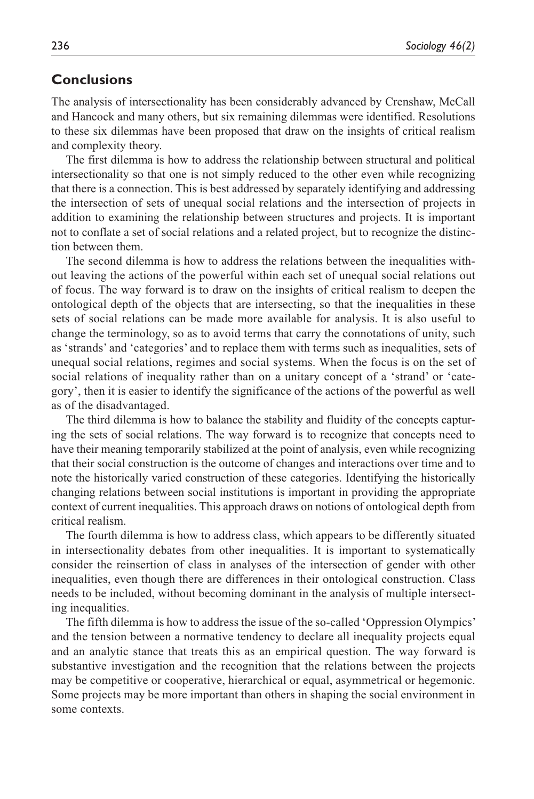#### **Conclusions**

The analysis of intersectionality has been considerably advanced by Crenshaw, McCall and Hancock and many others, but six remaining dilemmas were identified. Resolutions to these six dilemmas have been proposed that draw on the insights of critical realism and complexity theory.

The first dilemma is how to address the relationship between structural and political intersectionality so that one is not simply reduced to the other even while recognizing that there is a connection. This is best addressed by separately identifying and addressing the intersection of sets of unequal social relations and the intersection of projects in addition to examining the relationship between structures and projects. It is important not to conflate a set of social relations and a related project, but to recognize the distinction between them.

The second dilemma is how to address the relations between the inequalities without leaving the actions of the powerful within each set of unequal social relations out of focus. The way forward is to draw on the insights of critical realism to deepen the ontological depth of the objects that are intersecting, so that the inequalities in these sets of social relations can be made more available for analysis. It is also useful to change the terminology, so as to avoid terms that carry the connotations of unity, such as 'strands' and 'categories' and to replace them with terms such as inequalities, sets of unequal social relations, regimes and social systems. When the focus is on the set of social relations of inequality rather than on a unitary concept of a 'strand' or 'category', then it is easier to identify the significance of the actions of the powerful as well as of the disadvantaged.

The third dilemma is how to balance the stability and fluidity of the concepts capturing the sets of social relations. The way forward is to recognize that concepts need to have their meaning temporarily stabilized at the point of analysis, even while recognizing that their social construction is the outcome of changes and interactions over time and to note the historically varied construction of these categories. Identifying the historically changing relations between social institutions is important in providing the appropriate context of current inequalities. This approach draws on notions of ontological depth from critical realism.

The fourth dilemma is how to address class, which appears to be differently situated in intersectionality debates from other inequalities. It is important to systematically consider the reinsertion of class in analyses of the intersection of gender with other inequalities, even though there are differences in their ontological construction. Class needs to be included, without becoming dominant in the analysis of multiple intersecting inequalities.

The fifth dilemma is how to address the issue of the so-called 'Oppression Olympics' and the tension between a normative tendency to declare all inequality projects equal and an analytic stance that treats this as an empirical question. The way forward is substantive investigation and the recognition that the relations between the projects may be competitive or cooperative, hierarchical or equal, asymmetrical or hegemonic. Some projects may be more important than others in shaping the social environment in some contexts.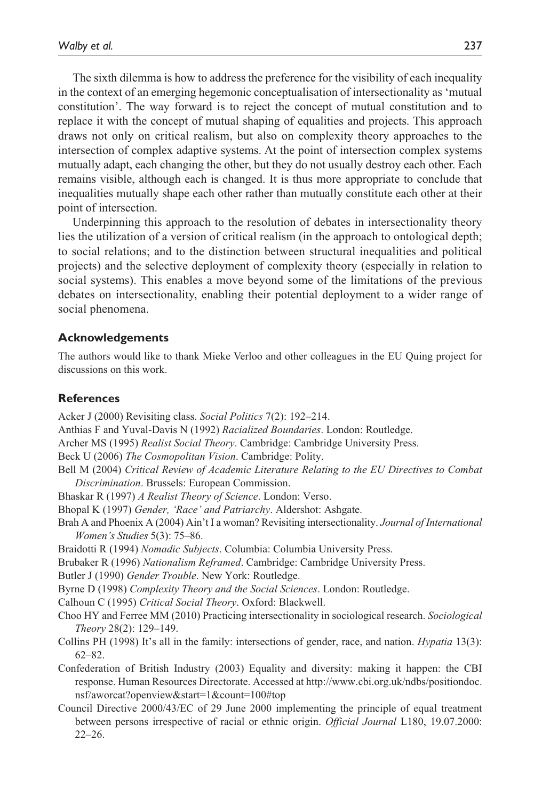The sixth dilemma is how to address the preference for the visibility of each inequality in the context of an emerging hegemonic conceptualisation of intersectionality as 'mutual constitution'. The way forward is to reject the concept of mutual constitution and to replace it with the concept of mutual shaping of equalities and projects. This approach draws not only on critical realism, but also on complexity theory approaches to the intersection of complex adaptive systems. At the point of intersection complex systems mutually adapt, each changing the other, but they do not usually destroy each other. Each remains visible, although each is changed. It is thus more appropriate to conclude that inequalities mutually shape each other rather than mutually constitute each other at their point of intersection.

Underpinning this approach to the resolution of debates in intersectionality theory lies the utilization of a version of critical realism (in the approach to ontological depth; to social relations; and to the distinction between structural inequalities and political projects) and the selective deployment of complexity theory (especially in relation to social systems). This enables a move beyond some of the limitations of the previous debates on intersectionality, enabling their potential deployment to a wider range of social phenomena.

#### **Acknowledgements**

The authors would like to thank Mieke Verloo and other colleagues in the EU Quing project for discussions on this work.

#### **References**

Acker J (2000) Revisiting class. *Social Politics* 7(2): 192–214. Anthias F and Yuval-Davis N (1992) *Racialized Boundaries*. London: Routledge. Archer MS (1995) *Realist Social Theory*. Cambridge: Cambridge University Press. Beck U (2006) *The Cosmopolitan Vision*. Cambridge: Polity. Bell M (2004) *Critical Review of Academic Literature Relating to the EU Directives to Combat Discrimination*. Brussels: European Commission. Bhaskar R (1997) *A Realist Theory of Science*. London: Verso. Bhopal K (1997) *Gender, 'Race' and Patriarchy*. Aldershot: Ashgate. Brah A and Phoenix A (2004) Ain't I a woman? Revisiting intersectionality. *Journal of International Women's Studies* 5(3): 75–86. Braidotti R (1994) *Nomadic Subjects*. Columbia: Columbia University Press. Brubaker R (1996) *Nationalism Reframed*. Cambridge: Cambridge University Press. Butler J (1990) *Gender Trouble*. New York: Routledge. Byrne D (1998) *Complexity Theory and the Social Sciences*. London: Routledge. Calhoun C (1995) *Critical Social Theory*. Oxford: Blackwell. Choo HY and Ferree MM (2010) Practicing intersectionality in sociological research. *Sociological Theory* 28(2): 129–149. Collins PH (1998) It's all in the family: intersections of gender, race, and nation. *Hypatia* 13(3): 62–82. Confederation of British Industry (2003) Equality and diversity: making it happen: the CBI response. Human Resources Directorate. Accessed at http://www.cbi.org.uk/ndbs/positiondoc. nsf/aworcat?openview&start=1&count=100#top Council Directive 2000/43/EC of 29 June 2000 implementing the principle of equal treatment between persons irrespective of racial or ethnic origin. *Official Journal* L180, 19.07.2000:  $22 - 26.$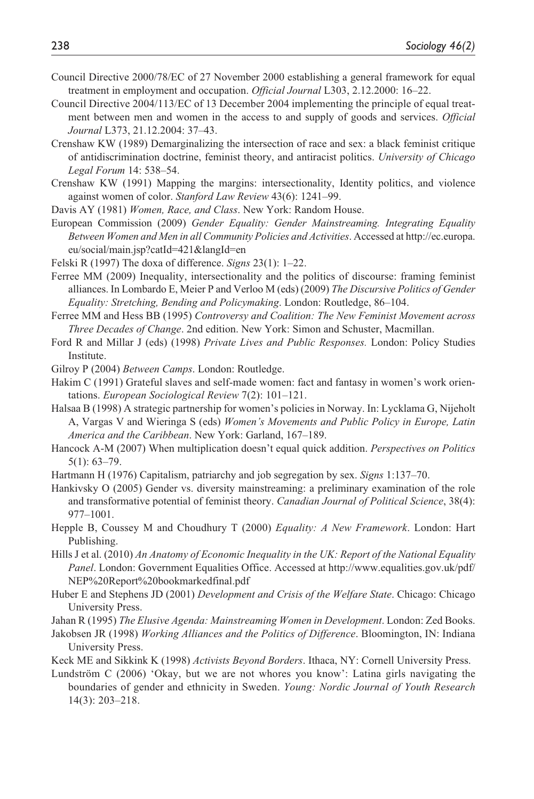- Council Directive 2000/78/EC of 27 November 2000 establishing a general framework for equal treatment in employment and occupation. *Official Journal* L303, 2.12.2000: 16–22.
- Council Directive 2004/113/EC of 13 December 2004 implementing the principle of equal treatment between men and women in the access to and supply of goods and services. *Official Journal* L373, 21.12.2004: 37–43.
- Crenshaw KW (1989) Demarginalizing the intersection of race and sex: a black feminist critique of antidiscrimination doctrine, feminist theory, and antiracist politics. *University of Chicago Legal Forum* 14: 538–54.

Crenshaw KW (1991) Mapping the margins: intersectionality, Identity politics, and violence against women of color. *Stanford Law Review* 43(6): 1241–99.

- Davis AY (1981) *Women, Race, and Class*. New York: Random House.
- European Commission (2009) *Gender Equality: Gender Mainstreaming. Integrating Equality Between Women and Men in all Community Policies and Activities*. Accessed at http://ec.europa. eu/social/main.jsp?catId=421&langId=en
- Felski R (1997) The doxa of difference. *Signs* 23(1): 1–22.
- Ferree MM (2009) Inequality, intersectionality and the politics of discourse: framing feminist alliances. In Lombardo E, Meier P and Verloo M (eds) (2009) *The Discursive Politics of Gender Equality: Stretching, Bending and Policymaking*. London: Routledge, 86–104.

Ferree MM and Hess BB (1995) *Controversy and Coalition: The New Feminist Movement across Three Decades of Change*. 2nd edition. New York: Simon and Schuster, Macmillan.

- Ford R and Millar J (eds) (1998) *Private Lives and Public Responses.* London: Policy Studies Institute.
- Gilroy P (2004) *Between Camps*. London: Routledge.
- Hakim C (1991) Grateful slaves and self-made women: fact and fantasy in women's work orientations. *European Sociological Review* 7(2): 101–121.
- Halsaa B (1998) A strategic partnership for women's policies in Norway. In: Lycklama G, Nijeholt A, Vargas V and Wieringa S (eds) *Women's Movements and Public Policy in Europe, Latin America and the Caribbean*. New York: Garland, 167–189.
- Hancock A-M (2007) When multiplication doesn't equal quick addition. *Perspectives on Politics* 5(1): 63–79.
- Hartmann H (1976) Capitalism, patriarchy and job segregation by sex. *Signs* 1:137–70.
- Hankivsky O (2005) Gender vs. diversity mainstreaming: a preliminary examination of the role and transformative potential of feminist theory. *Canadian Journal of Political Science*, 38(4): 977–1001.

Hepple B, Coussey M and Choudhury T (2000) *Equality: A New Framework*. London: Hart Publishing.

Hills J et al. (2010) *An Anatomy of Economic Inequality in the UK: Report of the National Equality Panel*. London: Government Equalities Office. Accessed at http://www.equalities.gov.uk/pdf/ NEP%20Report%20bookmarkedfinal.pdf

Huber E and Stephens JD (2001) *Development and Crisis of the Welfare State*. Chicago: Chicago University Press.

Jahan R (1995) *The Elusive Agenda: Mainstreaming Women in Development*. London: Zed Books.

Jakobsen JR (1998) *Working Alliances and the Politics of Difference*. Bloomington, IN: Indiana University Press.

- Keck ME and Sikkink K (1998) *Activists Beyond Borders*. Ithaca, NY: Cornell University Press.
- Lundström C (2006) 'Okay, but we are not whores you know': Latina girls navigating the boundaries of gender and ethnicity in Sweden. *Young: Nordic Journal of Youth Research* 14(3): 203–218.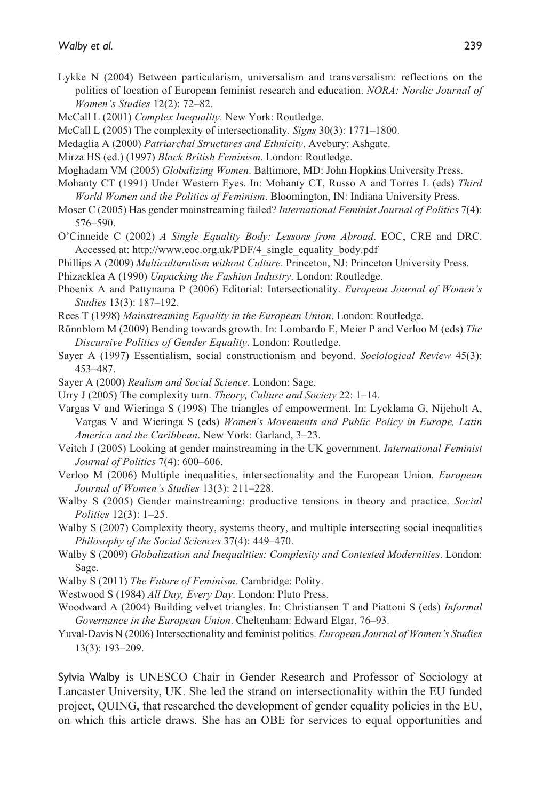- Lykke N (2004) Between particularism, universalism and transversalism: reflections on the politics of location of European feminist research and education. *NORA: Nordic Journal of Women's Studies* 12(2): 72–82.
- McCall L (2001) *Complex Inequality*. New York: Routledge.
- McCall L (2005) The complexity of intersectionality. *Signs* 30(3): 1771–1800.
- Medaglia A (2000) *Patriarchal Structures and Ethnicity*. Avebury: Ashgate.
- Mirza HS (ed.) (1997) *Black British Feminism*. London: Routledge.
- Moghadam VM (2005) *Globalizing Women*. Baltimore, MD: John Hopkins University Press.
- Mohanty CT (1991) Under Western Eyes. In: Mohanty CT, Russo A and Torres L (eds) *Third World Women and the Politics of Feminism*. Bloomington, IN: Indiana University Press.
- Moser C (2005) Has gender mainstreaming failed? *International Feminist Journal of Politics* 7(4): 576–590.
- O'Cinneide C (2002) *A Single Equality Body: Lessons from Abroad*. EOC, CRE and DRC. Accessed at: http://www.eoc.org.uk/PDF/4\_single\_equality\_body.pdf
- Phillips A (2009) *Multiculturalism without Culture*. Princeton, NJ: Princeton University Press.
- Phizacklea A (1990) *Unpacking the Fashion Industry*. London: Routledge.
- Phoenix A and Pattynama P (2006) Editorial: Intersectionality. *European Journal of Women's Studies* 13(3): 187–192.
- Rees T (1998) *Mainstreaming Equality in the European Union*. London: Routledge.
- Rönnblom M (2009) Bending towards growth. In: Lombardo E, Meier P and Verloo M (eds) *The Discursive Politics of Gender Equality*. London: Routledge.
- Sayer A (1997) Essentialism, social constructionism and beyond. *Sociological Review* 45(3): 453–487.
- Sayer A (2000) *Realism and Social Science*. London: Sage.
- Urry J (2005) The complexity turn. *Theory, Culture and Society* 22: 1–14.

Vargas V and Wieringa S (1998) The triangles of empowerment. In: Lycklama G, Nijeholt A, Vargas V and Wieringa S (eds) *Women's Movements and Public Policy in Europe, Latin America and the Caribbean*. New York: Garland, 3–23.

- Veitch J (2005) Looking at gender mainstreaming in the UK government. *International Feminist Journal of Politics* 7(4): 600–606.
- Verloo M (2006) Multiple inequalities, intersectionality and the European Union. *European Journal of Women's Studies* 13(3): 211–228.
- Walby S (2005) Gender mainstreaming: productive tensions in theory and practice. *Social Politics* 12(3): 1–25.
- Walby S (2007) Complexity theory, systems theory, and multiple intersecting social inequalities *Philosophy of the Social Sciences* 37(4): 449–470.
- Walby S (2009) *Globalization and Inequalities: Complexity and Contested Modernities*. London: Sage.
- Walby S (2011) *The Future of Feminism*. Cambridge: Polity.
- Westwood S (1984) *All Day, Every Day*. London: Pluto Press.
- Woodward A (2004) Building velvet triangles. In: Christiansen T and Piattoni S (eds) *Informal Governance in the European Union*. Cheltenham: Edward Elgar, 76–93.

Yuval-Davis N (2006) Intersectionality and feminist politics. *European Journal of Women's Studies* 13(3): 193–209.

Sylvia Walby is UNESCO Chair in Gender Research and Professor of Sociology at Lancaster University, UK. She led the strand on intersectionality within the EU funded project, QUING, that researched the development of gender equality policies in the EU, on which this article draws. She has an OBE for services to equal opportunities and